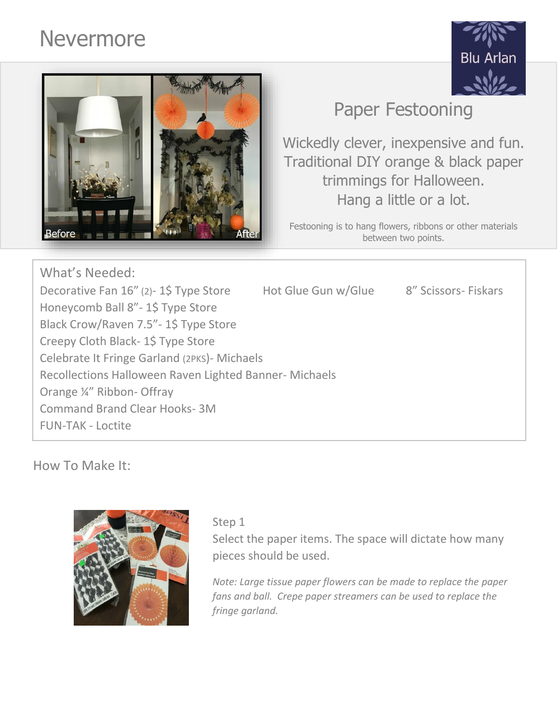# Nevermore





## Paper Festooning

Wickedly clever, inexpensive and fun. Traditional DIY orange & black paper trimmings for Halloween. Hang a little or a lot.

Festooning is to hang flowers, ribbons or other materials between two points.

What's Needed: Decorative Fan 16" (2)-1\$ Type Store Hot Glue Gun w/Glue 8" Scissors- Fiskars Honeycomb Ball 8"- 1\$ Type Store Black Crow/Raven 7.5"- 1\$ Type Store Creepy Cloth Black- 1\$ Type Store Celebrate It Fringe Garland (2PKS)- Michaels Recollections Halloween Raven Lighted Banner- Michaels Orange ¼" Ribbon- Offray Command Brand Clear Hooks- 3M FUN-TAK - Loctite

How To Make It:



#### Step 1

Select the paper items. The space will dictate how many pieces should be used.

*Note: Large tissue paper flowers can be made to replace the paper fans and ball. Crepe paper streamers can be used to replace the fringe garland.*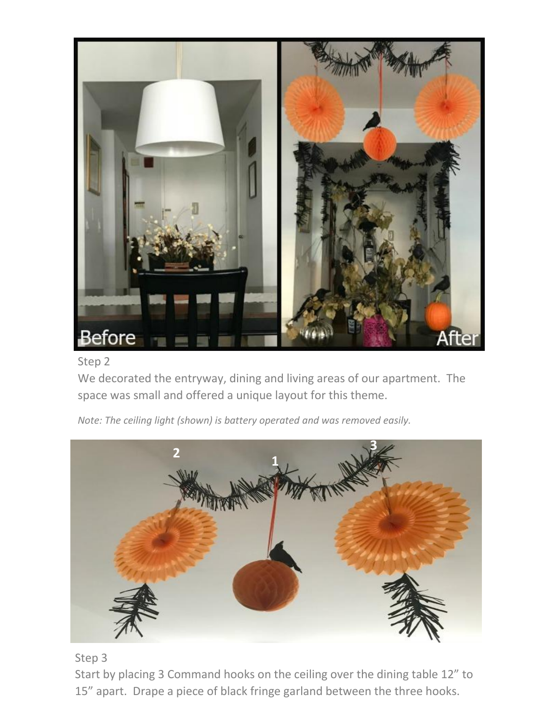

#### Step 2

We decorated the entryway, dining and living areas of our apartment. The space was small and offered a unique layout for this theme.

*Note: The ceiling light (shown) is battery operated and was removed easily.*



#### Step 3

Start by placing 3 Command hooks on the ceiling over the dining table 12" to 15" apart. Drape a piece of black fringe garland between the three hooks.